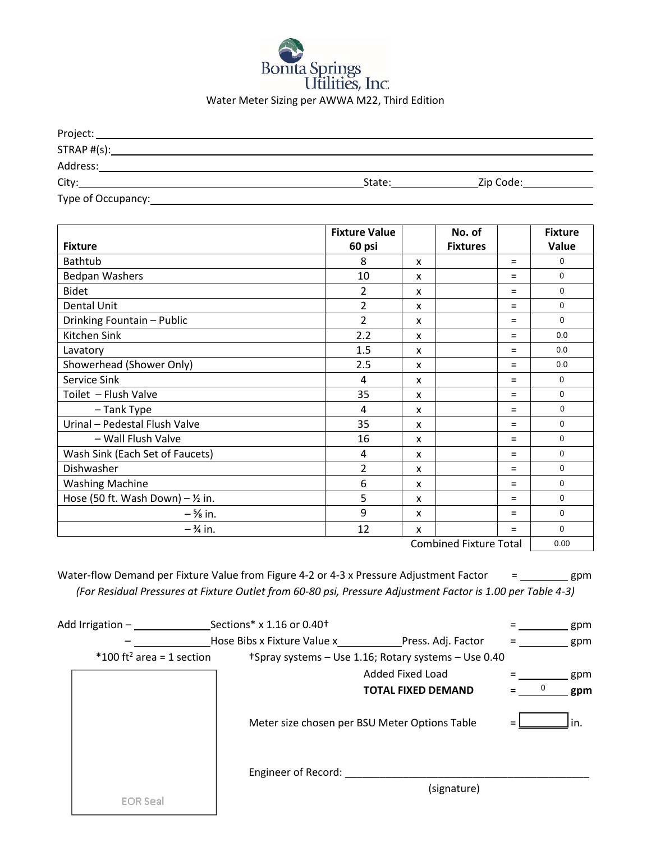

| Project:           |        |           |
|--------------------|--------|-----------|
| $STRAP$ # $(s)$ :  |        |           |
| Address:           |        |           |
| City:              | State: | Zip Code: |
| Type of Occupancy: |        |           |

|                                     | <b>Fixture Value</b> |   | No. of          |     | <b>Fixture</b> |
|-------------------------------------|----------------------|---|-----------------|-----|----------------|
| <b>Fixture</b>                      | 60 psi               |   | <b>Fixtures</b> |     | Value          |
| <b>Bathtub</b>                      | 8                    | x |                 | $=$ | $\Omega$       |
| <b>Bedpan Washers</b>               | 10                   | X |                 | $=$ | $\Omega$       |
| <b>Bidet</b>                        | 2                    | x |                 | $=$ | $\Omega$       |
| Dental Unit                         | $\overline{2}$       | X |                 | $=$ | 0              |
| Drinking Fountain - Public          | $\overline{2}$       | x |                 | $=$ | 0              |
| Kitchen Sink                        | 2.2                  | X |                 | $=$ | 0.0            |
| Lavatory                            | 1.5                  | x |                 | Ξ   | 0.0            |
| Showerhead (Shower Only)            | 2.5                  | X |                 | $=$ | 0.0            |
| Service Sink                        | 4                    | x |                 | $=$ | $\mathbf 0$    |
| Toilet - Flush Valve                | 35                   | X |                 | $=$ | $\Omega$       |
| - Tank Type                         | 4                    | X |                 | $=$ | 0              |
| Urinal - Pedestal Flush Valve       | 35                   | x |                 | $=$ | 0              |
| - Wall Flush Valve                  | 16                   | X |                 | $=$ | 0              |
| Wash Sink (Each Set of Faucets)     | 4                    | x |                 | $=$ | 0              |
| Dishwasher                          | $\overline{2}$       | x |                 | $=$ | $\Omega$       |
| <b>Washing Machine</b>              | 6                    | X |                 | $=$ | 0              |
| Hose (50 ft. Wash Down) $-$ 1/2 in. | 5                    | x |                 | $=$ | 0              |
| $ \frac{5}{8}$ in.                  | 9                    | X |                 | $=$ | $\Omega$       |
| $-3/4$ in.                          | 12                   | x |                 | Ξ   | 0              |

Combined Fixture Total 0.00

Water-flow Demand per Fixture Value from Figure 4-2 or 4-3 x Pressure Adjustment Factor = \_\_\_\_\_\_\_\_\_ gpm *(For Residual Pressures at Fixture Outlet from 60-80 psi, Pressure Adjustment Factor is 1.00 per Table 4-3)*

| Add Irrigation -                      |  | Sections* x 1.16 or 0.40 <sup>+</sup> |                                                      |   | gpm |
|---------------------------------------|--|---------------------------------------|------------------------------------------------------|---|-----|
|                                       |  |                                       | Hose Bibs x Fixture Value x Press. Adj. Factor       |   | gpm |
| *100 ft <sup>2</sup> area = 1 section |  |                                       | +Spray systems – Use 1.16; Rotary systems – Use 0.40 |   |     |
|                                       |  |                                       | Added Fixed Load                                     |   | gpm |
|                                       |  |                                       | <b>TOTAL FIXED DEMAND</b>                            | 0 | gpm |
|                                       |  |                                       | Meter size chosen per BSU Meter Options Table        |   | in. |
|                                       |  | Engineer of Record:                   |                                                      |   |     |
| <b>EOR Seal</b>                       |  |                                       | (signature)                                          |   |     |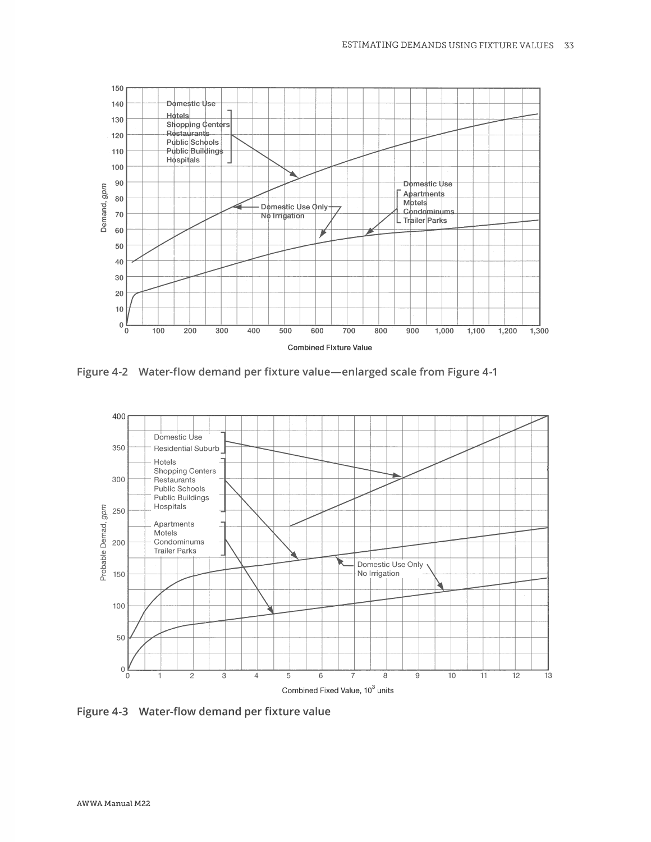

Figure 4-2 Water-flow demand per fixture value-enlarged scale from Figure 4-1



Figure 4-3 Water-flow demand per fixture value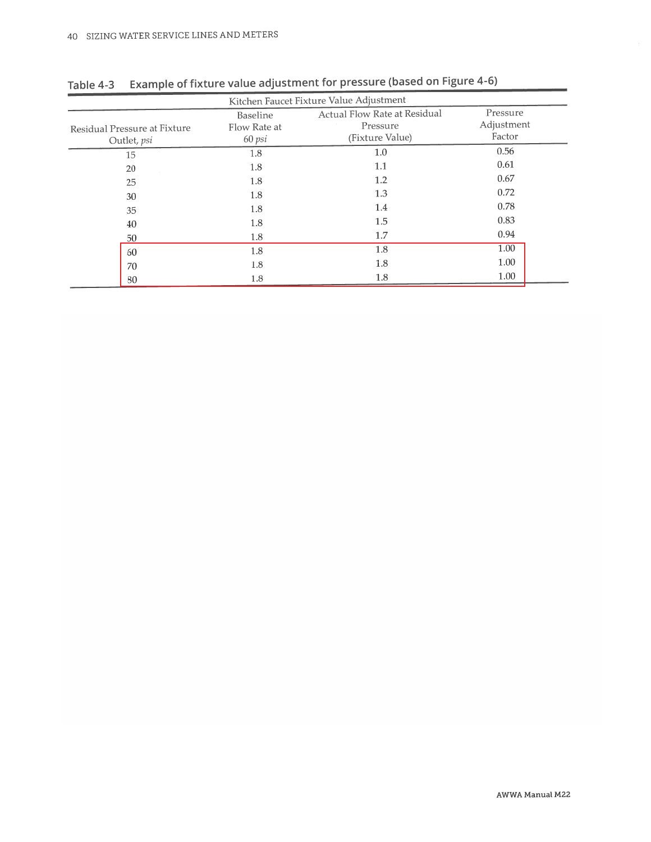| Kitchen Faucet Fixture Value Adjustment     |                                    |                                                             |                                  |  |  |
|---------------------------------------------|------------------------------------|-------------------------------------------------------------|----------------------------------|--|--|
| Residual Pressure at Fixture<br>Outlet, psi | Baseline<br>Flow Rate at<br>60 psi | Actual Flow Rate at Residual<br>Pressure<br>(Fixture Value) | Pressure<br>Adjustment<br>Factor |  |  |
| 15                                          | 1.8                                | 1.0                                                         | 0.56                             |  |  |
| 20                                          | 1.8                                | 1.1                                                         | 0.61                             |  |  |
| 25                                          | 1.8                                | 1.2                                                         | 0.67                             |  |  |
| 30                                          | 1.8                                | 1.3                                                         | 0.72                             |  |  |
| 35                                          | 1.8                                | 1.4                                                         | 0.78                             |  |  |
| 40                                          | 1.8                                | 1.5                                                         | 0.83                             |  |  |
| 50                                          | 1.8                                | 1.7                                                         | 0.94                             |  |  |
| 60                                          | 1.8                                | 1.8                                                         | 1.00                             |  |  |
| 70                                          | 1.8                                | 1.8                                                         | 1.00                             |  |  |
| 80                                          | 1.8                                | 1.8                                                         | 1.00                             |  |  |

Table 4-3 Example of fixture value adjustment for pressure (based on Figure 4-6)